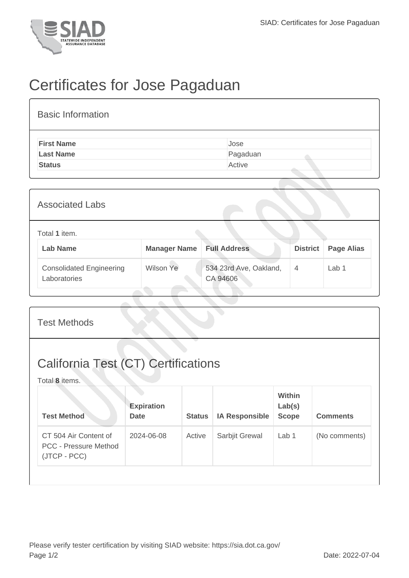

## Certificates for Jose Pagaduan

| <b>Basic Information</b> |          |
|--------------------------|----------|
| <b>First Name</b>        | Jose     |
| <b>Last Name</b>         | Pagaduan |
| <b>Status</b>            | Active   |

| <b>Associated Labs</b>                                                                            |           |                                    |                |                   |  |
|---------------------------------------------------------------------------------------------------|-----------|------------------------------------|----------------|-------------------|--|
| Total 1 item.<br><b>Lab Name</b><br><b>Full Address</b><br><b>District</b><br><b>Manager Name</b> |           |                                    |                | <b>Page Alias</b> |  |
| <b>Consolidated Engineering</b><br>Laboratories                                                   | Wilson Ye | 534 23rd Ave, Oakland,<br>CA 94606 | $\overline{4}$ | Lab <sub>1</sub>  |  |

| <b>Test Methods</b>                                                   |                                  |               |                       |                                         |                 |  |
|-----------------------------------------------------------------------|----------------------------------|---------------|-----------------------|-----------------------------------------|-----------------|--|
| <b>California Test (CT) Certifications</b><br>Total 8 items.          |                                  |               |                       |                                         |                 |  |
| <b>Test Method</b>                                                    | <b>Expiration</b><br><b>Date</b> | <b>Status</b> | <b>IA Responsible</b> | <b>Within</b><br>Lab(s)<br><b>Scope</b> | <b>Comments</b> |  |
| CT 504 Air Content of<br><b>PCC - Pressure Method</b><br>(JTCP - PCC) | 2024-06-08                       | Active        | Sarbjit Grewal        | Lab 1                                   | (No comments)   |  |
|                                                                       |                                  |               |                       |                                         |                 |  |